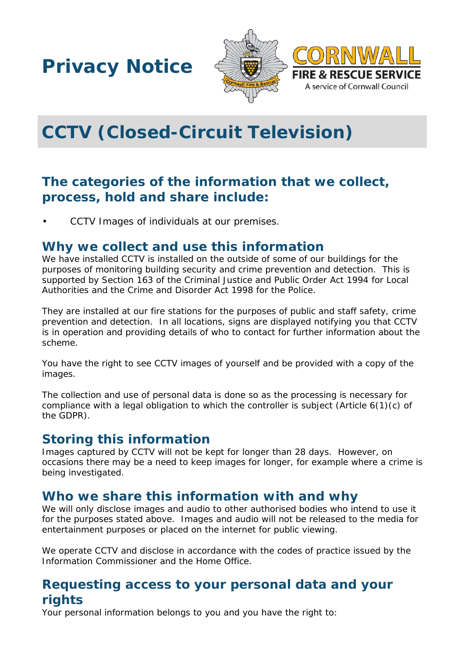**Privacy Notice**





# **CCTV (Closed-Circuit Television)**

## **The categories of the information that we collect, process, hold and share include:**

• CCTV Images of individuals at our premises.

#### **Why we collect and use this information**

We have installed CCTV is installed on the outside of some of our buildings for the purposes of monitoring building security and crime prevention and detection. This is supported by Section 163 of the Criminal Justice and Public Order Act 1994 for Local Authorities and the Crime and Disorder Act 1998 for the Police.

They are installed at our fire stations for the purposes of public and staff safety, crime prevention and detection. In all locations, signs are displayed notifying you that CCTV is in operation and providing details of who to contact for further information about the scheme.

You have the right to see CCTV images of yourself and be provided with a copy of the images.

The collection and use of personal data is done so as the processing is necessary for compliance with a legal obligation to which the controller is subject (Article 6(1)(c) of the GDPR).

#### **Storing this information**

Images captured by CCTV will not be kept for longer than 28 days. However, on occasions there may be a need to keep images for longer, for example where a crime is being investigated.

## **Who we share this information with and why**

We will only disclose images and audio to other authorised bodies who intend to use it for the purposes stated above. Images and audio will not be released to the media for entertainment purposes or placed on the internet for public viewing.

We operate CCTV and disclose in accordance with the codes of practice issued by the Information Commissioner and the Home Office.

## **Requesting access to your personal data and your rights**

Your personal information belongs to you and you have the right to: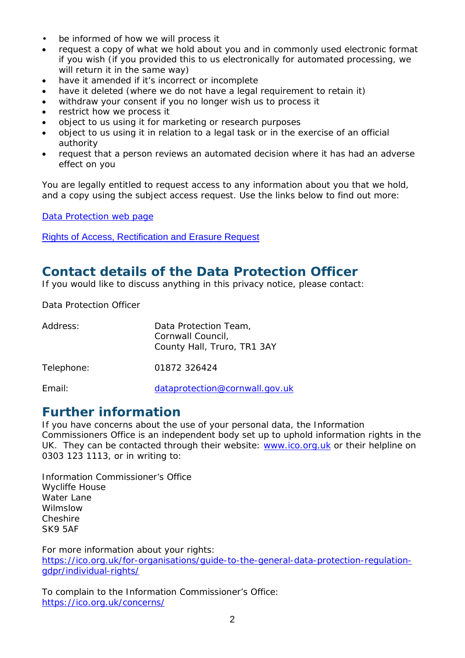- be informed of how we will process it
- request a copy of what we hold about you and in commonly used electronic format if you wish (if you provided this to us electronically for automated processing, we will return it in the same way)
- have it amended if it's incorrect or incomplete
- have it deleted (where we do not have a legal requirement to retain it)
- withdraw your consent if you no longer wish us to process it
- restrict how we process it
- object to us using it for marketing or research purposes
- object to us using it in relation to a legal task or in the exercise of an official authority
- request that a person reviews an automated decision where it has had an adverse effect on you

You are legally entitled to request access to any information about you that we hold, and a copy using the subject access request. Use the links below to find out more:

[Data Protection web page](http://www.cornwall.gov.uk/council-and-democracy/data-protection-and-freedom-of-information/data-protection)

[Rights of Access, Rectification and Erasure Request](https://www.cornwall.gov.uk/media/33315555/form-2018-rare-form-blank.pdf)

## **Contact details of the Data Protection Officer**

If you would like to discuss anything in this privacy notice, please contact:

Data Protection Officer

| Address:   | Data Protection Team,<br>Cornwall Council,<br>County Hall, Truro, TR1 3AY |
|------------|---------------------------------------------------------------------------|
| Telephone: | 01872 326424                                                              |
| Email:     | dataprotection@cornwall.gov.uk                                            |

#### **Further information**

If you have concerns about the use of your personal data, the Information Commissioners Office is an independent body set up to uphold information rights in the UK. They can be contacted through their website: [www.ico.org.uk](http://www.ico.org.uk/) or their helpline on 0303 123 1113, or in writing to:

Information Commissioner's Office Wycliffe House Water Lane Wilmslow Cheshire SK9 5AF

For more information about your rights: [https://ico.org.uk/for-organisations/guide-to-the-general-data-protection-regulation](https://ico.org.uk/for-organisations/guide-to-the-general-data-protection-regulation-gdpr/individual-rights/)[gdpr/individual-rights/](https://ico.org.uk/for-organisations/guide-to-the-general-data-protection-regulation-gdpr/individual-rights/)

To complain to the Information Commissioner's Office: <https://ico.org.uk/concerns/>